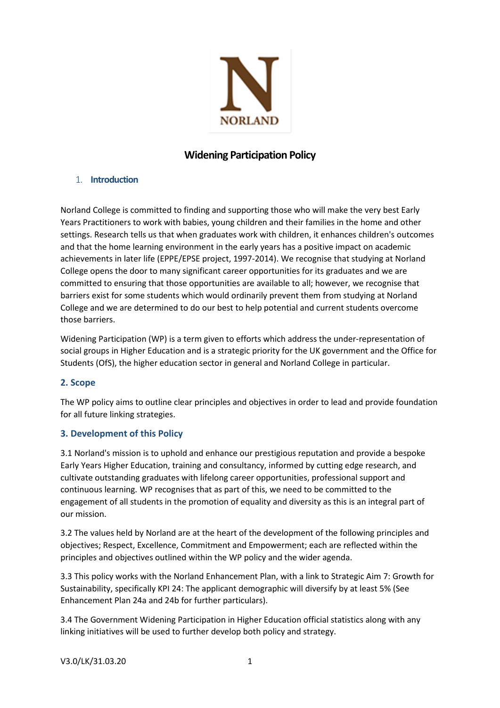

# **Widening Participation Policy**

### 1. **Introduction**

Norland College is committed to finding and supporting those who will make the very best Early Years Practitioners to work with babies, young children and their families in the home and other settings. Research tells us that when graduates work with children, it enhances children's outcomes and that the home learning environment in the early years has a positive impact on academic achievements in later life (EPPE/EPSE project, 1997-2014). We recognise that studying at Norland College opens the door to many significant career opportunities for its graduates and we are committed to ensuring that those opportunities are available to all; however, we recognise that barriers exist for some students which would ordinarily prevent them from studying at Norland College and we are determined to do our best to help potential and current students overcome those barriers.

Widening Participation (WP) is a term given to efforts which address the under-representation of social groups in Higher Education and is a strategic priority for the UK government and the Office for Students (OfS), the higher education sector in general and Norland College in particular.

## **2. Scope**

The WP policy aims to outline clear principles and objectives in order to lead and provide foundation for all future linking strategies.

## **3. Development of this Policy**

3.1 Norland's mission is to uphold and enhance our prestigious reputation and provide a bespoke Early Years Higher Education, training and consultancy, informed by cutting edge research, and cultivate outstanding graduates with lifelong career opportunities, professional support and continuous learning. WP recognises that as part of this, we need to be committed to the engagement of all students in the promotion of equality and diversity as this is an integral part of our mission.

3.2 The values held by Norland are at the heart of the development of the following principles and objectives; Respect, Excellence, Commitment and Empowerment; each are reflected within the principles and objectives outlined within the WP policy and the wider agenda.

3.3 This policy works with the Norland Enhancement Plan, with a link to Strategic Aim 7: Growth for Sustainability, specifically KPI 24: The applicant demographic will diversify by at least 5% (See Enhancement Plan 24a and 24b for further particulars).

3.4 The Government Widening Participation in Higher Education official statistics along with any linking initiatives will be used to further develop both policy and strategy.